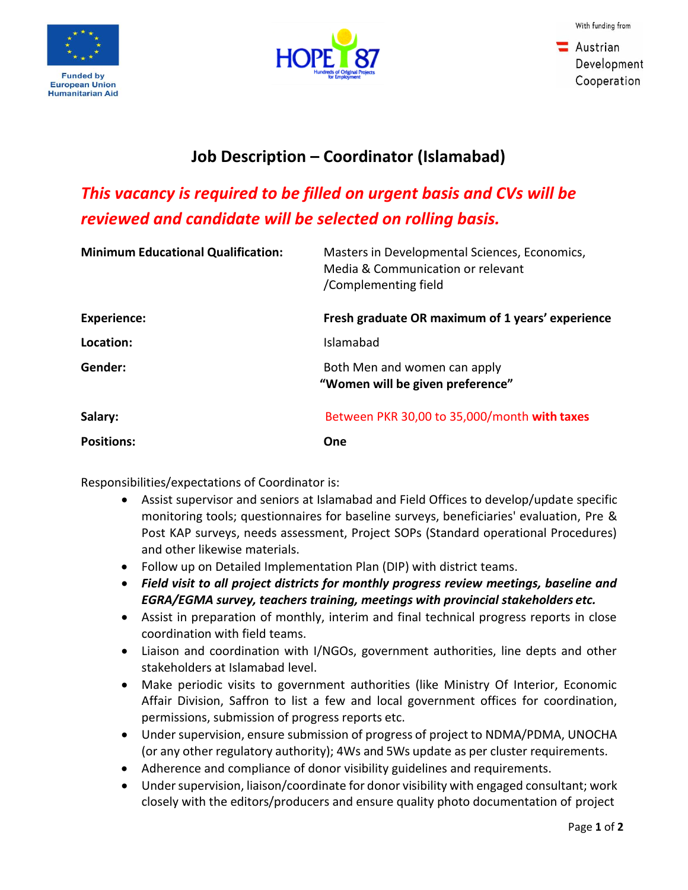



 $\blacksquare$  Austrian Development Cooperation

## **Job Description – Coordinator (Islamabad)**

## *This vacancy is required to be filled on urgent basis and CVs will be reviewed and candidate will be selected on rolling basis.*

| <b>Minimum Educational Qualification:</b> | Masters in Developmental Sciences, Economics,<br>Media & Communication or relevant<br>/Complementing field |
|-------------------------------------------|------------------------------------------------------------------------------------------------------------|
| <b>Experience:</b>                        | Fresh graduate OR maximum of 1 years' experience                                                           |
| Location:                                 | Islamabad                                                                                                  |
| Gender:                                   | Both Men and women can apply<br>"Women will be given preference"                                           |
| Salary:                                   | Between PKR 30,00 to 35,000/month with taxes                                                               |
| <b>Positions:</b>                         | One                                                                                                        |

Responsibilities/expectations of Coordinator is:

- Assist supervisor and seniors at Islamabad and Field Offices to develop/update specific monitoring tools; questionnaires for baseline surveys, beneficiaries' evaluation, Pre & Post KAP surveys, needs assessment, Project SOPs (Standard operational Procedures) and other likewise materials.
- Follow up on Detailed Implementation Plan (DIP) with district teams.
- *Field visit to all project districts for monthly progress review meetings, baseline and EGRA/EGMA survey, teachers training, meetings with provincial stakeholders etc.*
- Assist in preparation of monthly, interim and final technical progress reports in close coordination with field teams.
- Liaison and coordination with I/NGOs, government authorities, line depts and other stakeholders at Islamabad level.
- Make periodic visits to government authorities (like Ministry Of Interior, Economic Affair Division, Saffron to list a few and local government offices for coordination, permissions, submission of progress reports etc.
- Under supervision, ensure submission of progress of project to NDMA/PDMA, UNOCHA (or any other regulatory authority); 4Ws and 5Ws update as per cluster requirements.
- Adherence and compliance of donor visibility guidelines and requirements.
- Under supervision, liaison/coordinate for donor visibility with engaged consultant; work closely with the editors/producers and ensure quality photo documentation of project